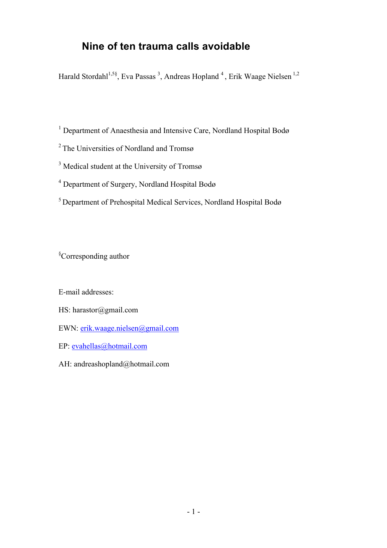## **Nine of ten trauma calls avoidable**

Harald Stordahl<sup>1,5§</sup>, Eva Passas<sup>3</sup>, Andreas Hopland<sup>4</sup>, Erik Waage Nielsen<sup>1,2</sup>

<sup>1</sup> Department of Anaesthesia and Intensive Care, Nordland Hospital Bodø

2 The Universities of Nordland and Tromsø

<sup>3</sup> Medical student at the University of Tromsø

<sup>4</sup> Department of Surgery, Nordland Hospital Bodø

5 Department of Prehospital Medical Services, Nordland Hospital Bodø

§ Corresponding author

E-mail addresses:

HS: harastor@gmail.com

EWN: erik.waage.nielsen@gmail.com

EP: evahellas@hotmail.com

AH: andreashopland@hotmail.com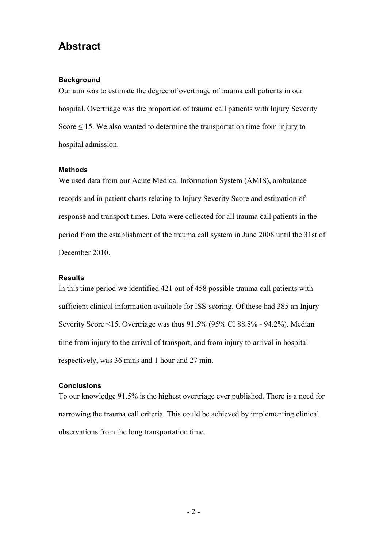## **Abstract**

#### **Background**

Our aim was to estimate the degree of overtriage of trauma call patients in our hospital. Overtriage was the proportion of trauma call patients with Injury Severity Score  $\leq$  15. We also wanted to determine the transportation time from injury to hospital admission.

#### **Methods**

We used data from our Acute Medical Information System (AMIS), ambulance records and in patient charts relating to Injury Severity Score and estimation of response and transport times. Data were collected for all trauma call patients in the period from the establishment of the trauma call system in June 2008 until the 31st of December 2010.

#### **Results**

In this time period we identified 421 out of 458 possible trauma call patients with sufficient clinical information available for ISS-scoring. Of these had 385 an Injury Severity Score  $\leq$ 15. Overtriage was thus 91.5% (95% CI 88.8% - 94.2%). Median time from injury to the arrival of transport, and from injury to arrival in hospital respectively, was 36 mins and 1 hour and 27 min.

#### **Conclusions**

To our knowledge 91.5% is the highest overtriage ever published. There is a need for narrowing the trauma call criteria. This could be achieved by implementing clinical observations from the long transportation time.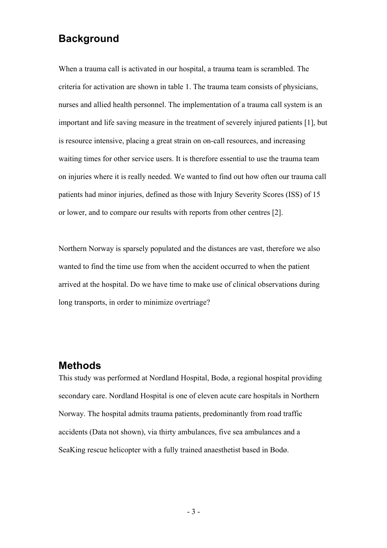### **Background**

When a trauma call is activated in our hospital, a trauma team is scrambled. The criteria for activation are shown in table 1. The trauma team consists of physicians, nurses and allied health personnel. The implementation of a trauma call system is an important and life saving measure in the treatment of severely injured patients [1], but is resource intensive, placing a great strain on on-call resources, and increasing waiting times for other service users. It is therefore essential to use the trauma team on injuries where it is really needed. We wanted to find out how often our trauma call patients had minor injuries, defined as those with Injury Severity Scores (ISS) of 15 or lower, and to compare our results with reports from other centres [2].

Northern Norway is sparsely populated and the distances are vast, therefore we also wanted to find the time use from when the accident occurred to when the patient arrived at the hospital. Do we have time to make use of clinical observations during long transports, in order to minimize overtriage?

#### **Methods**

This study was performed at Nordland Hospital, Bodø, a regional hospital providing secondary care. Nordland Hospital is one of eleven acute care hospitals in Northern Norway. The hospital admits trauma patients, predominantly from road traffic accidents (Data not shown), via thirty ambulances, five sea ambulances and a SeaKing rescue helicopter with a fully trained anaesthetist based in Bodø.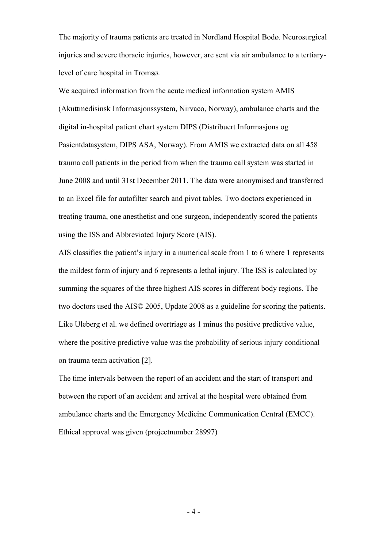The majority of trauma patients are treated in Nordland Hospital Bodø. Neurosurgical injuries and severe thoracic injuries, however, are sent via air ambulance to a tertiarylevel of care hospital in Tromsø.

We acquired information from the acute medical information system AMIS (Akuttmedisinsk Informasjonssystem, Nirvaco, Norway), ambulance charts and the digital in-hospital patient chart system DIPS (Distribuert Informasjons og Pasientdatasystem, DIPS ASA, Norway). From AMIS we extracted data on all 458 trauma call patients in the period from when the trauma call system was started in June 2008 and until 31st December 2011. The data were anonymised and transferred to an Excel file for autofilter search and pivot tables. Two doctors experienced in treating trauma, one anesthetist and one surgeon, independently scored the patients using the ISS and Abbreviated Injury Score (AIS).

AIS classifies the patient's injury in a numerical scale from 1 to 6 where 1 represents the mildest form of injury and 6 represents a lethal injury. The ISS is calculated by summing the squares of the three highest AIS scores in different body regions. The two doctors used the AIS© 2005, Update 2008 as a guideline for scoring the patients. Like Uleberg et al. we defined overtriage as 1 minus the positive predictive value, where the positive predictive value was the probability of serious injury conditional on trauma team activation [2].

The time intervals between the report of an accident and the start of transport and between the report of an accident and arrival at the hospital were obtained from ambulance charts and the Emergency Medicine Communication Central (EMCC). Ethical approval was given (projectnumber 28997)

- 4 -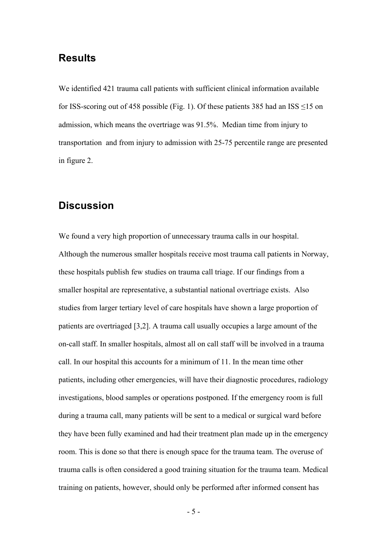#### **Results**

We identified 421 trauma call patients with sufficient clinical information available for ISS-scoring out of 458 possible (Fig. 1). Of these patients 385 had an ISS  $\leq$ 15 on admission, which means the overtriage was 91.5%. Median time from injury to transportation and from injury to admission with 25-75 percentile range are presented in figure 2.

#### **Discussion**

We found a very high proportion of unnecessary trauma calls in our hospital. Although the numerous smaller hospitals receive most trauma call patients in Norway, these hospitals publish few studies on trauma call triage. If our findings from a smaller hospital are representative, a substantial national overtriage exists. Also studies from larger tertiary level of care hospitals have shown a large proportion of patients are overtriaged [3,2]. A trauma call usually occupies a large amount of the on-call staff. In smaller hospitals, almost all on call staff will be involved in a trauma call. In our hospital this accounts for a minimum of 11. In the mean time other patients, including other emergencies, will have their diagnostic procedures, radiology investigations, blood samples or operations postponed. If the emergency room is full during a trauma call, many patients will be sent to a medical or surgical ward before they have been fully examined and had their treatment plan made up in the emergency room. This is done so that there is enough space for the trauma team. The overuse of trauma calls is often considered a good training situation for the trauma team. Medical training on patients, however, should only be performed after informed consent has

- 5 -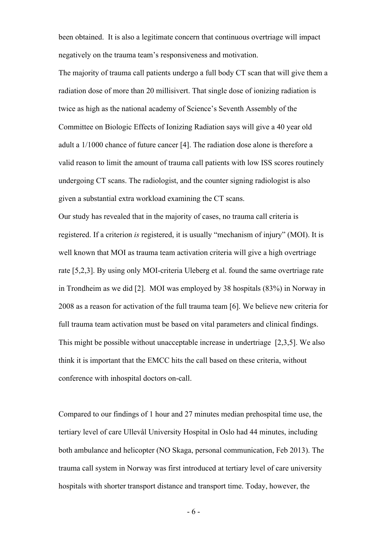been obtained. It is also a legitimate concern that continuous overtriage will impact negatively on the trauma team's responsiveness and motivation.

The majority of trauma call patients undergo a full body CT scan that will give them a radiation dose of more than 20 millisivert. That single dose of ionizing radiation is twice as high as the national academy of Science's Seventh Assembly of the Committee on Biologic Effects of Ionizing Radiation says will give a 40 year old adult a 1/1000 chance of future cancer [4]. The radiation dose alone is therefore a valid reason to limit the amount of trauma call patients with low ISS scores routinely undergoing CT scans. The radiologist, and the counter signing radiologist is also given a substantial extra workload examining the CT scans.

Our study has revealed that in the majority of cases, no trauma call criteria is registered. If a criterion *is* registered, it is usually "mechanism of injury" (MOI). It is well known that MOI as trauma team activation criteria will give a high overtriage rate [5,2,3]. By using only MOI-criteria Uleberg et al. found the same overtriage rate in Trondheim as we did [2]. MOI was employed by 38 hospitals (83%) in Norway in 2008 as a reason for activation of the full trauma team [6]. We believe new criteria for full trauma team activation must be based on vital parameters and clinical findings. This might be possible without unacceptable increase in undertriage [2,3,5]. We also think it is important that the EMCC hits the call based on these criteria, without conference with inhospital doctors on-call.

Compared to our findings of 1 hour and 27 minutes median prehospital time use, the tertiary level of care Ullevål University Hospital in Oslo had 44 minutes, including both ambulance and helicopter (NO Skaga, personal communication, Feb 2013). The trauma call system in Norway was first introduced at tertiary level of care university hospitals with shorter transport distance and transport time. Today, however, the

- 6 -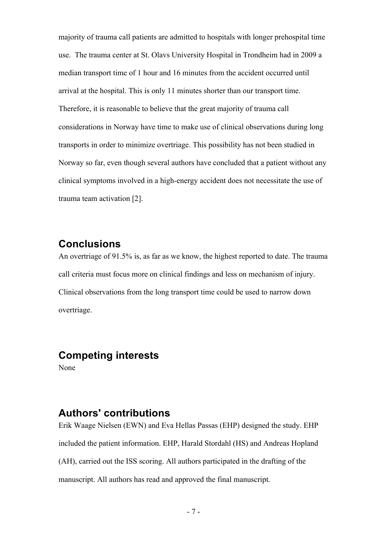majority of trauma call patients are admitted to hospitals with longer prehospital time use. The trauma center at St. Olavs University Hospital in Trondheim had in 2009 a median transport time of 1 hour and 16 minutes from the accident occurred until arrival at the hospital. This is only 11 minutes shorter than our transport time. Therefore, it is reasonable to believe that the great majority of trauma call considerations in Norway have time to make use of clinical observations during long transports in order to minimize overtriage. This possibility has not been studied in Norway so far, even though several authors have concluded that a patient without any clinical symptoms involved in a high-energy accident does not necessitate the use of trauma team activation [2].

### **Conclusions**

An overtriage of 91.5% is, as far as we know, the highest reported to date. The trauma call criteria must focus more on clinical findings and less on mechanism of injury. Clinical observations from the long transport time could be used to narrow down overtriage.

### **Competing interests**

None

## **Authors' contributions**

Erik Waage Nielsen (EWN) and Eva Hellas Passas (EHP) designed the study. EHP included the patient information. EHP, Harald Stordahl (HS) and Andreas Hopland (AH), carried out the ISS scoring. All authors participated in the drafting of the manuscript. All authors has read and approved the final manuscript.

- 7 -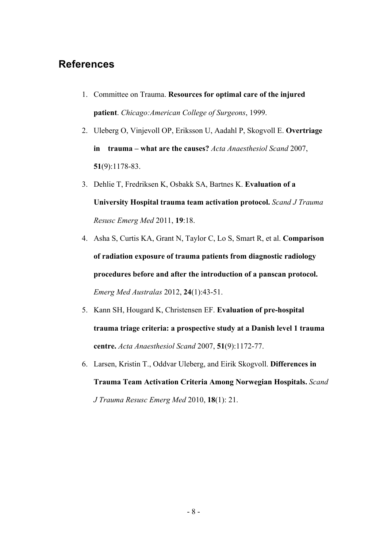#### **References**

- 1. Committee on Trauma. **Resources for optimal care of the injured patient**. *Chicago:American College of Surgeons*, 1999.
- 2. Uleberg O, Vinjevoll OP, Eriksson U, Aadahl P, Skogvoll E. **Overtriage in trauma – what are the causes?** *Acta Anaesthesiol Scand* 2007, **51**(9):1178-83.
- 3. Dehlie T, Fredriksen K, Osbakk SA, Bartnes K. **Evaluation of a University Hospital trauma team activation protocol.** *Scand J Trauma Resusc Emerg Med* 2011, **19**:18.
- 4. Asha S, Curtis KA, Grant N, Taylor C, Lo S, Smart R, et al. **Comparison of radiation exposure of trauma patients from diagnostic radiology procedures before and after the introduction of a panscan protocol.** *Emerg Med Australas* 2012, **24**(1):43-51.
- 5. Kann SH, Hougard K, Christensen EF. **Evaluation of pre-hospital trauma triage criteria: a prospective study at a Danish level 1 trauma centre.** *Acta Anaesthesiol Scand* 2007, **51**(9):1172-77.
- 6. Larsen, Kristin T., Oddvar Uleberg, and Eirik Skogvoll. **Differences in Trauma Team Activation Criteria Among Norwegian Hospitals.** *Scand J Trauma Resusc Emerg Med* 2010, **18**(1): 21.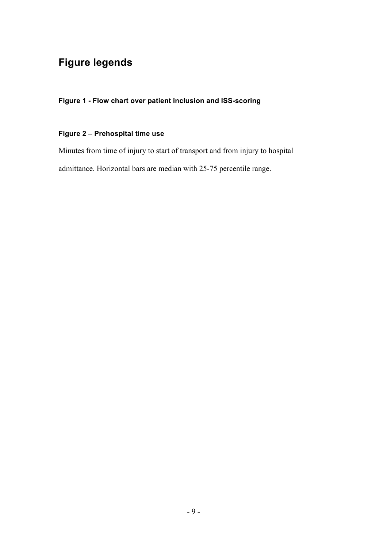## **Figure legends**

**Figure 1 - Flow chart over patient inclusion and ISS-scoring**

#### **Figure 2 – Prehospital time use**

Minutes from time of injury to start of transport and from injury to hospital admittance. Horizontal bars are median with 25-75 percentile range.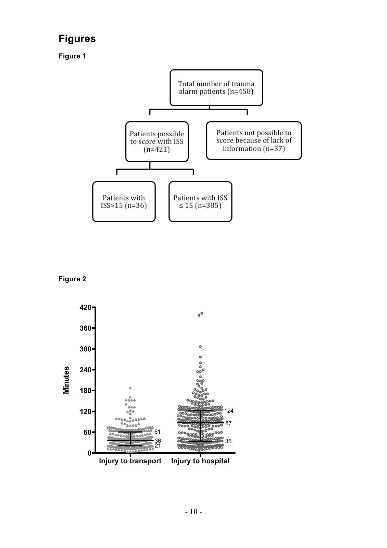## **Figures**

**Figure 1** 



**Figure 2**